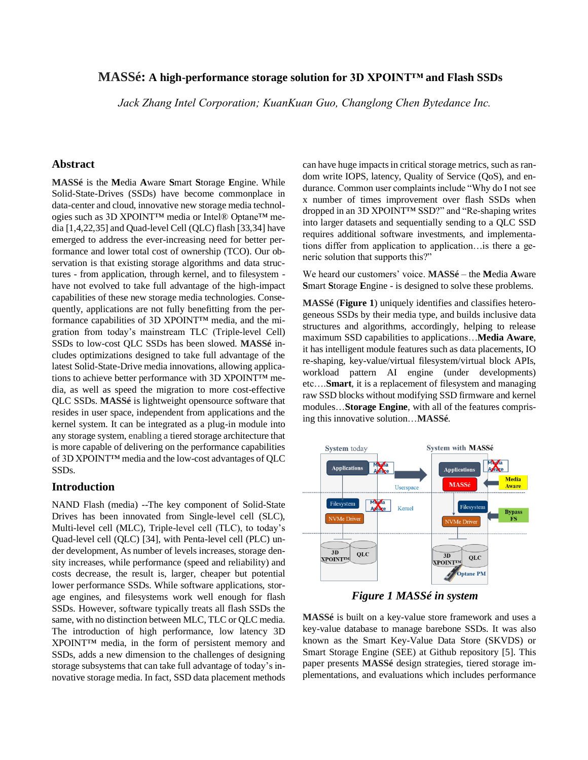### **MASSé: A high-performance storage solution for 3D XPOINT™ and Flash SSDs**

 *Jack Zhang Intel Corporation; KuanKuan Guo, Changlong Chen Bytedance Inc.*

#### **Abstract**

**MASSé** is the **M**edia **A**ware **S**mart **S**torage **E**ngine. While Solid-State-Drives (SSDs) have become commonplace in data-center and cloud, innovative new storage media technologies such as 3D XPOINT™ media or Intel® Optane™ media [1,4,22,35] and Quad-level Cell (QLC) flash [33,34] have emerged to address the ever-increasing need for better performance and lower total cost of ownership (TCO). Our observation is that existing storage algorithms and data structures - from application, through kernel, and to filesystem have not evolved to take full advantage of the high-impact capabilities of these new storage media technologies. Consequently, applications are not fully benefitting from the performance capabilities of 3D XPOINT™ media, and the migration from today's mainstream TLC (Triple-level Cell) SSDs to low-cost QLC SSDs has been slowed. **MASSé** includes optimizations designed to take full advantage of the latest Solid-State-Drive media innovations, allowing applications to achieve better performance with 3D XPOINT™ media, as well as speed the migration to more cost-effective QLC SSDs. **MASSé** is lightweight opensource software that resides in user space, independent from applications and the kernel system. It can be integrated as a plug-in module into any storage system, enabling a tiered storage architecture that is more capable of delivering on the performance capabilities of 3D XPOINT™ media and the low-cost advantages of QLC SSDs.

#### **Introduction**

NAND Flash (media) --The key component of Solid-State Drives has been innovated from Single-level cell (SLC), Multi-level cell (MLC), Triple-level cell (TLC), to today's Quad-level cell (QLC) [34], with Penta-level cell (PLC) under development, As number of levels increases, storage density increases, while performance (speed and reliability) and costs decrease, the result is, larger, cheaper but potential lower performance SSDs. While software applications, storage engines, and filesystems work well enough for flash SSDs. However, software typically treats all flash SSDs the same, with no distinction between MLC, TLC or QLC media. The introduction of high performance, low latency 3D XPOINT™ media, in the form of persistent memory and SSDs, adds a new dimension to the challenges of designing storage subsystems that can take full advantage of today's innovative storage media. In fact, SSD data placement methods can have huge impacts in critical storage metrics, such as random write IOPS, latency, Quality of Service (QoS), and endurance. Common user complaints include "Why do I not see x number of times improvement over flash SSDs when dropped in an 3D XPOINT™ SSD?" and "Re-shaping writes into larger datasets and sequentially sending to a QLC SSD requires additional software investments, and implementations differ from application to application…is there a generic solution that supports this?"

We heard our customers' voice. **MASSé** – the **M**edia **A**ware **S**mart **S**torage **E**ngine - is designed to solve these problems.

**MASSé** (**Figure 1**) uniquely identifies and classifies heterogeneous SSDs by their media type, and builds inclusive data structures and algorithms, accordingly, helping to release maximum SSD capabilities to applications…**Media Aware**, it has intelligent module features such as data placements, IO re-shaping, key-value/virtual filesystem/virtual block APIs, workload pattern AI engine (under developments) etc….**Smart**, it is a replacement of filesystem and managing raw SSD blocks without modifying SSD firmware and kernel modules…**Storage Engine**, with all of the features comprising this innovative solution…**MASSé**.



*Figure 1 MASSé in system*

**MASSé** is built on a key-value store framework and uses a key-value database to manage barebone SSDs. It was also known as the Smart Key-Value Data Store (SKVDS) or Smart Storage Engine (SEE) at Github repository [5]. This paper presents **MASSé** design strategies, tiered storage implementations, and evaluations which includes performance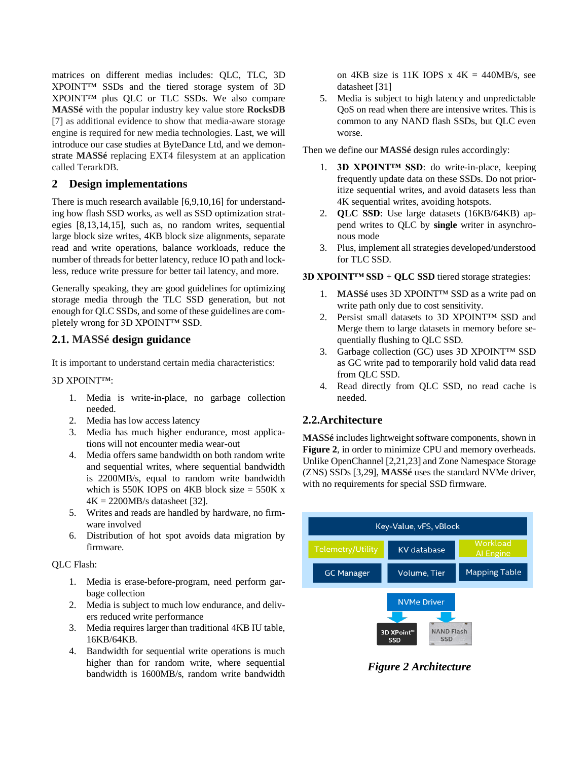matrices on different medias includes: QLC, TLC, 3D XPOINT™ SSDs and the tiered storage system of 3D XPOINT™ plus QLC or TLC SSDs. We also compare **MASSé** with the popular industry key value store **RocksDB** [7] as additional evidence to show that media-aware storage engine is required for new media technologies. Last, we will introduce our case studies at ByteDance Ltd, and we demonstrate **MASSé** replacing EXT4 filesystem at an application called TerarkDB.

## **2 Design implementations**

There is much research available [6,9,10,16] for understanding how flash SSD works, as well as SSD optimization strategies [8,13,14,15], such as, no random writes, sequential large block size writes, 4KB block size alignments, separate read and write operations, balance workloads, reduce the number of threads for better latency, reduce IO path and lockless, reduce write pressure for better tail latency, and more.

Generally speaking, they are good guidelines for optimizing storage media through the TLC SSD generation, but not enough for QLC SSDs, and some of these guidelines are completely wrong for 3D XPOINT™ SSD.

## **2.1. MASSé design guidance**

It is important to understand certain media characteristics:

3D XPOINT™:

- 1. Media is write-in-place, no garbage collection needed.
- 2. Media has low access latency
- 3. Media has much higher endurance, most applications will not encounter media wear-out
- 4. Media offers same bandwidth on both random write and sequential writes, where sequential bandwidth is 2200MB/s, equal to random write bandwidth which is 550K IOPS on 4KB block size  $=$  550K x  $4K = 2200MB/s$  datasheet [32].
- 5. Writes and reads are handled by hardware, no firmware involved
- 6. Distribution of hot spot avoids data migration by firmware.

#### QLC Flash:

- 1. Media is erase-before-program, need perform garbage collection
- 2. Media is subject to much low endurance, and delivers reduced write performance
- 3. Media requires larger than traditional 4KB IU table, 16KB/64KB.
- 4. Bandwidth for sequential write operations is much higher than for random write, where sequential bandwidth is 1600MB/s, random write bandwidth

on 4KB size is 11K IOPS  $x$  4K = 440MB/s, see datasheet [31]

5. Media is subject to high latency and unpredictable QoS on read when there are intensive writes. This is common to any NAND flash SSDs, but QLC even worse.

Then we define our **MASSé** design rules accordingly:

- 1. **3D XPOINT™ SSD**: do write-in-place, keeping frequently update data on these SSDs. Do not prioritize sequential writes, and avoid datasets less than 4K sequential writes, avoiding hotspots.
- 2. **QLC SSD**: Use large datasets (16KB/64KB) append writes to QLC by **single** writer in asynchronous mode
- 3. Plus, implement all strategies developed/understood for TLC SSD.

#### **3D XPOINT™ SSD** + **QLC SSD** tiered storage strategies:

- 1. **MASSé** uses 3D XPOINT™ SSD as a write pad on write path only due to cost sensitivity.
- 2. Persist small datasets to 3D XPOINT™ SSD and Merge them to large datasets in memory before sequentially flushing to QLC SSD.
- 3. Garbage collection (GC) uses 3D XPOINT™ SSD as GC write pad to temporarily hold valid data read from QLC SSD.
- 4. Read directly from QLC SSD, no read cache is needed.

### **2.2.Architecture**

**MASSé** includes lightweight software components, shown in **Figure 2**, in order to minimize CPU and memory overheads. Unlike OpenChannel [2,21,23] and Zone Namespace Storage (ZNS) SSDs [3,29], **MASSé** uses the standard NVMe driver, with no requirements for special SSD firmware.



 *Figure 2 Architecture*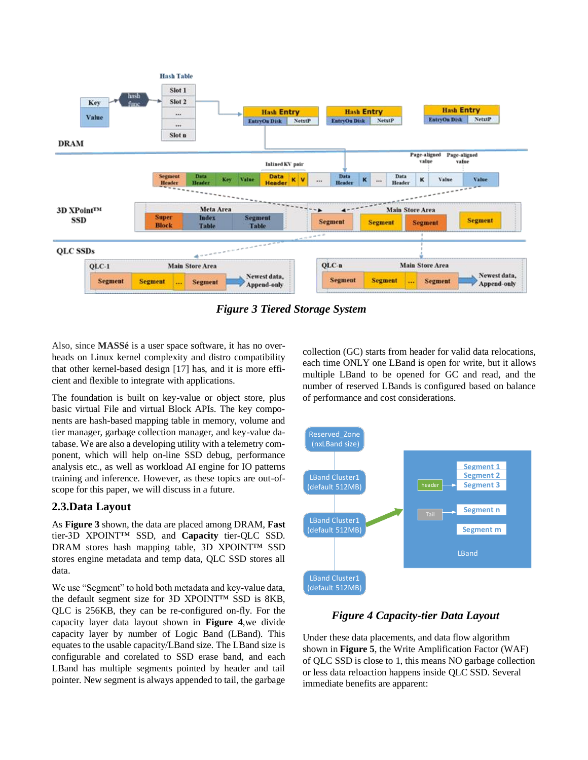

 *Figure 3 Tiered Storage System*

Also, since **MASSé** is a user space software, it has no overheads on Linux kernel complexity and distro compatibility that other kernel-based design [17] has, and it is more efficient and flexible to integrate with applications.

The foundation is built on key-value or object store, plus basic virtual File and virtual Block APIs. The key components are hash-based mapping table in memory, volume and tier manager, garbage collection manager, and key-value database. We are also a developing utility with a telemetry component, which will help on-line SSD debug, performance analysis etc., as well as workload AI engine for IO patterns training and inference. However, as these topics are out-ofscope for this paper, we will discuss in a future.

### **2.3.Data Layout**

As **Figure 3** shown, the data are placed among DRAM, **Fast** tier-3D XPOINT™ SSD, and **Capacity** tier-QLC SSD. DRAM stores hash mapping table, 3D XPOINT™ SSD stores engine metadata and temp data, QLC SSD stores all data.

We use "Segment" to hold both metadata and key-value data, the default segment size for 3D XPOINT™ SSD is 8KB, QLC is 256KB, they can be re-configured on-fly. For the capacity layer data layout shown in **Figure 4**,we divide capacity layer by number of Logic Band (LBand). This equates to the usable capacity/LBand size. The LBand size is configurable and corelated to SSD erase band, and each LBand has multiple segments pointed by header and tail pointer. New segment is always appended to tail, the garbage collection (GC) starts from header for valid data relocations, each time ONLY one LBand is open for write, but it allows multiple LBand to be opened for GC and read, and the number of reserved LBands is configured based on balance of performance and cost considerations.



## *Figure 4 Capacity-tier Data Layout*

Under these data placements, and data flow algorithm shown in **Figure 5**, the Write Amplification Factor (WAF) of QLC SSD is close to 1, this means NO garbage collection or less data reloaction happens inside QLC SSD. Several immediate benefits are apparent: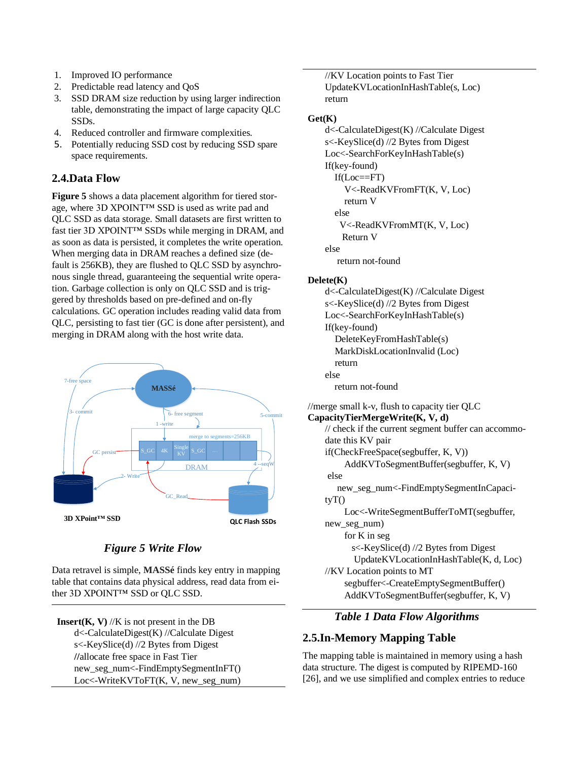- 1. Improved IO performance
- 2. Predictable read latency and QoS
- 3. SSD DRAM size reduction by using larger indirection table, demonstrating the impact of large capacity QLC SSDs.
- 4. Reduced controller and firmware complexities.
- 5. Potentially reducing SSD cost by reducing SSD spare space requirements.

## **2.4.Data Flow**

**Figure 5** shows a data placement algorithm for tiered storage, where 3D XPOINT™ SSD is used as write pad and QLC SSD as data storage. Small datasets are first written to fast tier 3D XPOINT™ SSDs while merging in DRAM, and as soon as data is persisted, it completes the write operation. When merging data in DRAM reaches a defined size (default is 256KB), they are flushed to QLC SSD by asynchronous single thread, guaranteeing the sequential write operation. Garbage collection is only on QLC SSD and is triggered by thresholds based on pre-defined and on-fly calculations. GC operation includes reading valid data from QLC, persisting to fast tier (GC is done after persistent), and merging in DRAM along with the host write data.



## *Figure 5 Write Flow*

Data retravel is simple, **MASSé** finds key entry in mapping table that contains data physical address, read data from either 3D XPOINT™ SSD or QLC SSD.

```
Insert(K, V) //K is not present in the DB
d<-CalculateDigest(K) //Calculate Digest 
s<-KeySlice(d) //2 Bytes from Digest 
//allocate free space in Fast Tier
new_seg_num<-FindEmptySegmentInFT()
Loc<-WriteKVToFT(K, V, new_seg_num)
```
//KV Location points to Fast Tier UpdateKVLocationInHashTable(s, Loc) return

### **Get(K)**

d<-CalculateDigest(K) //Calculate Digest s<-KeySlice(d) //2 Bytes from Digest Loc<-SearchForKeyInHashTable(s) If(key-found)  $If(Loc=FT)$  V<-ReadKVFromFT(K, V, Loc) return V else V<-ReadKVFromMT(K, V, Loc) Return V else return not-found

### **Delete(K)**

d<-CalculateDigest(K) //Calculate Digest s<-KeySlice(d) //2 Bytes from Digest Loc<-SearchForKeyInHashTable(s) If(key-found) DeleteKeyFromHashTable(s) MarkDiskLocationInvalid (Loc) return else return not-found

//merge small k-v, flush to capacity tier QLC **CapacityTierMergeWrite(K, V, d)**  // check if the current segment buffer can accommodate this KV pair if(CheckFreeSpace(segbuffer, K, V)) AddKVToSegmentBuffer(segbuffer, K, V) else

 new\_seg\_num<-FindEmptySegmentInCapaci $tyT()$ 

Loc<-WriteSegmentBufferToMT(segbuffer,

new\_seg\_num)

for K in seg

s<-KeySlice(d) //2 Bytes from Digest

UpdateKVLocationInHashTable(K, d, Loc)

//KV Location points to MT segbuffer<-CreateEmptySegmentBuffer() AddKVToSegmentBuffer(segbuffer, K, V)

## *Table 1 Data Flow Algorithms*

# **2.5.In-Memory Mapping Table**

The mapping table is maintained in memory using a hash data structure. The digest is computed by RIPEMD-160 [26], and we use simplified and complex entries to reduce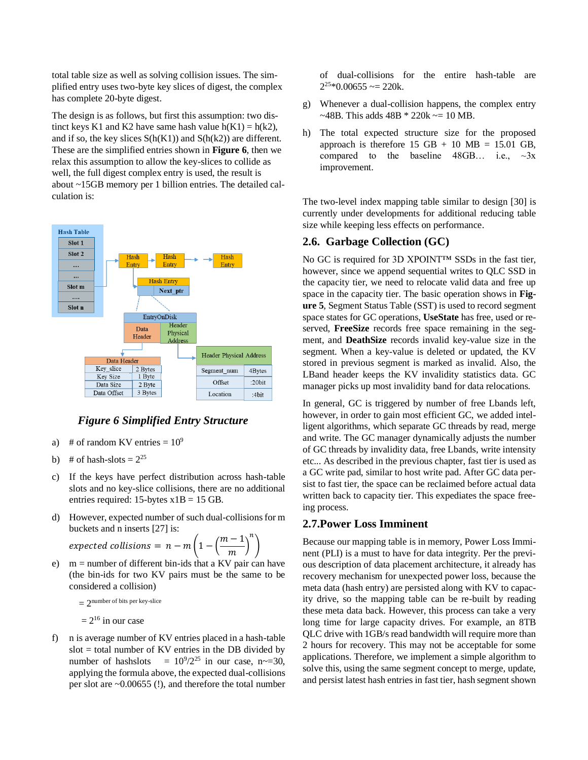total table size as well as solving collision issues. The simplified entry uses two-byte key slices of digest, the complex has complete 20-byte digest.

The design is as follows, but first this assumption: two distinct keys K1 and K2 have same hash value  $h(K1) = h(k2)$ , and if so, the key slices  $S(h(K1))$  and  $S(h(k2))$  are different. These are the simplified entries shown in **Figure 6**, then we relax this assumption to allow the key-slices to collide as well, the full digest complex entry is used, the result is about ~15GB memory per 1 billion entries. The detailed calculation is:



#### *Figure 6 Simplified Entry Structure*

- a) # of random KV entries  $= 10^9$
- b) # of hash-slots =  $2^{25}$
- c) If the keys have perfect distribution across hash-table slots and no key-slice collisions, there are no additional entries required: 15-bytes  $x1B = 15$  GB.
- d) However, expected number of such dual-collisions for m buckets and n inserts [27] is:

$$
expected\ collisions = n - m \left(1 - \left(\frac{m-1}{m}\right)^n\right)
$$

e)  $m =$  number of different bin-ids that a KV pair can have (the bin-ids for two KV pairs must be the same to be considered a collision)

> $= 2^{number of bits per key-slice}$  $= 2^{16}$  in our case

f) n is average number of KV entries placed in a hash-table slot = total number of KV entries in the DB divided by number of hashslots  $= 10^9/2^{25}$  in our case, n $\approx$  = 30, applying the formula above, the expected dual-collisions per slot are ~0.00655 (!), and therefore the total number

of dual-collisions for the entire hash-table are  $2^{25*}0.00655 \approx 220$ k.

- g) Whenever a dual-collision happens, the complex entry ~48B. This adds  $48B * 220k \approx 10 MB$ .
- h) The total expected structure size for the proposed approach is therefore  $15$  GB + 10 MB = 15.01 GB, compared to the baseline  $48GB...$  i.e.,  $\sim 3x$ improvement.

The two-level index mapping table similar to design [30] is currently under developments for additional reducing table size while keeping less effects on performance.

#### **2.6. Garbage Collection (GC)**

No GC is required for 3D XPOINT™ SSDs in the fast tier, however, since we append sequential writes to QLC SSD in the capacity tier, we need to relocate valid data and free up space in the capacity tier. The basic operation shows in **Figure 5**, Segment Status Table (SST) is used to record segment space states for GC operations, **UseState** has free, used or reserved, **FreeSize** records free space remaining in the segment, and **DeathSize** records invalid key-value size in the segment. When a key-value is deleted or updated, the KV stored in previous segment is marked as invalid. Also, the LBand header keeps the KV invalidity statistics data. GC manager picks up most invalidity band for data relocations.

In general, GC is triggered by number of free Lbands left, however, in order to gain most efficient GC, we added intelligent algorithms, which separate GC threads by read, merge and write. The GC manager dynamically adjusts the number of GC threads by invalidity data, free Lbands, write intensity etc... As described in the previous chapter, fast tier is used as a GC write pad, similar to host write pad. After GC data persist to fast tier, the space can be reclaimed before actual data written back to capacity tier. This expediates the space freeing process.

#### **2.7.Power Loss Imminent**

Because our mapping table is in memory, Power Loss Imminent (PLI) is a must to have for data integrity. Per the previous description of data placement architecture, it already has recovery mechanism for unexpected power loss, because the meta data (hash entry) are persisted along with KV to capacity drive, so the mapping table can be re-built by reading these meta data back. However, this process can take a very long time for large capacity drives. For example, an 8TB QLC drive with 1GB/s read bandwidth will require more than 2 hours for recovery. This may not be acceptable for some applications. Therefore, we implement a simple algorithm to solve this, using the same segment concept to merge, update, and persist latest hash entries in fast tier, hash segment shown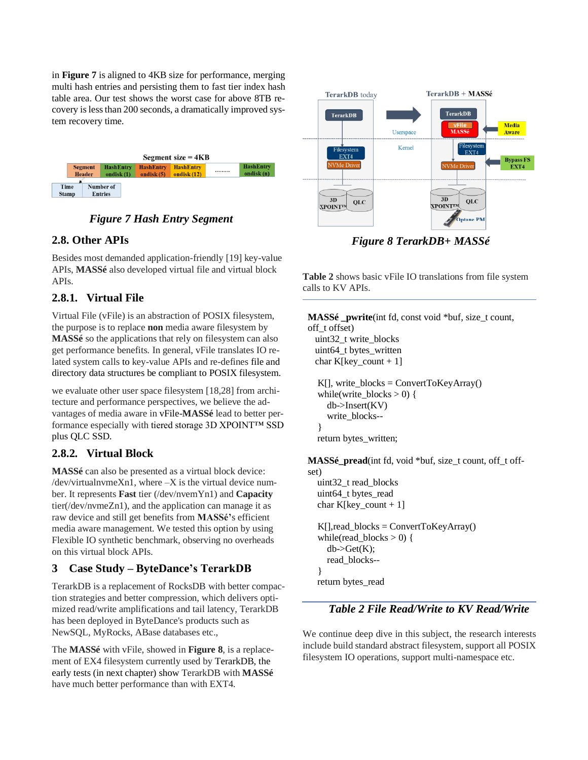in **Figure 7** is aligned to 4KB size for performance, merging multi hash entries and persisting them to fast tier index hash table area. Our test shows the worst case for above 8TB recovery is less than 200 seconds, a dramatically improved system recovery time.



## *Figure 7 Hash Entry Segment*

## **2.8. Other APIs**

Besides most demanded application-friendly [19] key-value APIs, **MASSé** also developed virtual file and virtual block APIs.

# **2.8.1. Virtual File**

Virtual File (vFile) is an abstraction of POSIX filesystem, the purpose is to replace **non** media aware filesystem by **MASSé** so the applications that rely on filesystem can also get performance benefits. In general, vFile translates IO related system calls to key-value APIs and re-defines file and directory data structures be compliant to POSIX filesystem.

we evaluate other user space filesystem [18,28] from architecture and performance perspectives, we believe the advantages of media aware in vFile-**MASSé** lead to better performance especially with tiered storage 3D XPOINT™ SSD plus QLC SSD.

# **2.8.2. Virtual Block**

**MASSé** can also be presented as a virtual block device:  $/$ dev/virtualnvmeXn1, where  $-X$  is the virtual device number. It represents **Fast** tier (/dev/nvemYn1) and **Capacity** tier(/dev/nvmeZn1), and the application can manage it as raw device and still get benefits from **MASSé'**s efficient media aware management. We tested this option by using Flexible IO synthetic benchmark, observing no overheads on this virtual block APIs.

# **3 Case Study – ByteDance's TerarkDB**

TerarkDB is a replacement of RocksDB with better compaction strategies and better compression, which delivers optimized read/write amplifications and tail latency, TerarkDB has been deployed in ByteDance's products such as NewSQL, MyRocks, ABase databases etc.,

The **MASSé** with vFile, showed in **Figure 8**, is a replacement of EX4 filesystem currently used by TerarkDB, the early tests (in next chapter) show TerarkDB with **MASSé** have much better performance than with EXT4.



 *Figure 8 TerarkDB+ MASSé*

**Table 2** shows basic vFile IO translations from file system calls to KV APIs.

**MASSé \_pwrite**(int fd, const void \*buf, size\_t count, off\_t offset)

 uint32\_t write\_blocks uint64 t bytes written char K[key\_count + 1]

 K[], write\_blocks = ConvertToKeyArray() while(write\_blocks  $> 0$ ) { db->Insert(KV) write\_blocks-- } return bytes\_written;

**MASSé** pread(int fd, void \*buf, size t count, off t offset)

 uint32\_t read\_blocks uint64 t bytes read char K[key\_count + 1]

K $[$ ], read blocks = ConvertToKeyArray $()$ while(read\_blocks  $> 0$ ) {  $db$ ->Get $(K)$ ; read\_blocks-- } return bytes\_read

# *Table 2 File Read/Write to KV Read/Write*

We continue deep dive in this subject, the research interests include build standard abstract filesystem, support all POSIX filesystem IO operations, support multi-namespace etc.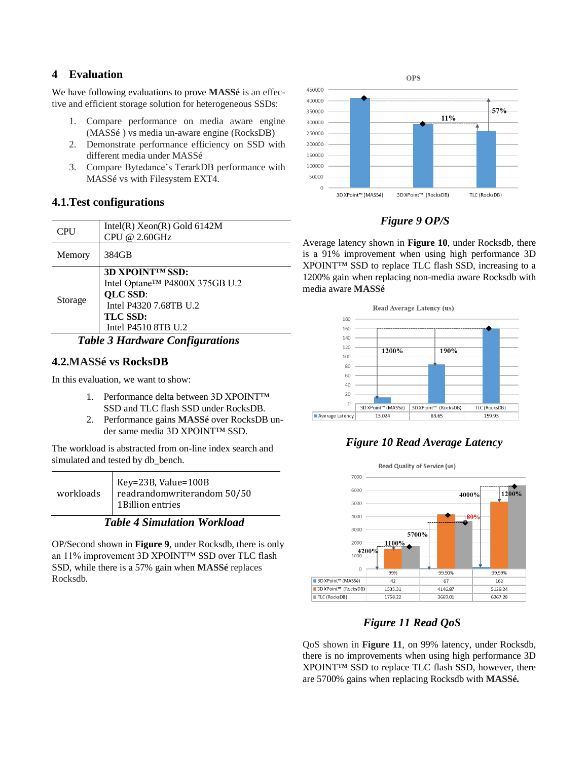## **4 Evaluation**

We have following evaluations to prove **MASSé** is an effective and efficient storage solution for heterogeneous SSDs:

- 1. Compare performance on media aware engine (MASSé ) vs media un-aware engine (RocksDB)
- 2. Demonstrate performance efficiency on SSD with different media under MASSé
- 3. Compare Bytedance's TerarkDB performance with MASSé vs with Filesystem EXT4.

### **4.1.Test configurations**

| <b>CPU</b>                             | Intel(R) $Xeon(R)$ Gold 6142M<br>CPU @ 2.60GHz                                                                                           |  |
|----------------------------------------|------------------------------------------------------------------------------------------------------------------------------------------|--|
| Memory                                 | 384GB                                                                                                                                    |  |
| Storage                                | 3D XPOINT™ SSD:<br>Intel Optane™ P4800X 375GB U.2<br><b>QLC SSD:</b><br>Intel P4320 7.68TB U.2<br><b>TLC SSD:</b><br>Intel P4510 8TB U.2 |  |
| <b>Table 3 Hardware Configurations</b> |                                                                                                                                          |  |

## **4.2.MASSé vs RocksDB**

In this evaluation, we want to show:

- 1. Performance delta between 3D XPOINT™ SSD and TLC flash SSD under RocksDB.
- 2. Performance gains **MASSé** over RocksDB under same media 3D XPOINT™ SSD.

The workload is abstracted from on-line index search and simulated and tested by db\_bench.

| workloads | Key= $23B$ , Value= $100B$<br>readrandomwriterandom 50/50<br>1Billion entries |
|-----------|-------------------------------------------------------------------------------|
|-----------|-------------------------------------------------------------------------------|

#### *Table 4 Simulation Workload*

OP/Second shown in **Figure 9**, under Rocksdb, there is only an 11% improvement 3D XPOINT™ SSD over TLC flash SSD, while there is a 57% gain when **MASSé** replaces Rocksdb.



# *Figure 9 OP/S*

Average latency shown in **Figure 10**, under Rocksdb, there is a 91% improvement when using high performance 3D XPOINT™ SSD to replace TLC flash SSD, increasing to a 1200% gain when replacing non-media aware Rocksdb with media aware **MASSé**



# *Figure 10 Read Average Latency*



# *Figure 11 Read QoS*

QoS shown in **Figure 11**, on 99% latency, under Rocksdb, there is no improvements when using high performance 3D XPOINT™ SSD to replace TLC flash SSD, however, there are 5700% gains when replacing Rocksdb with **MASSé.**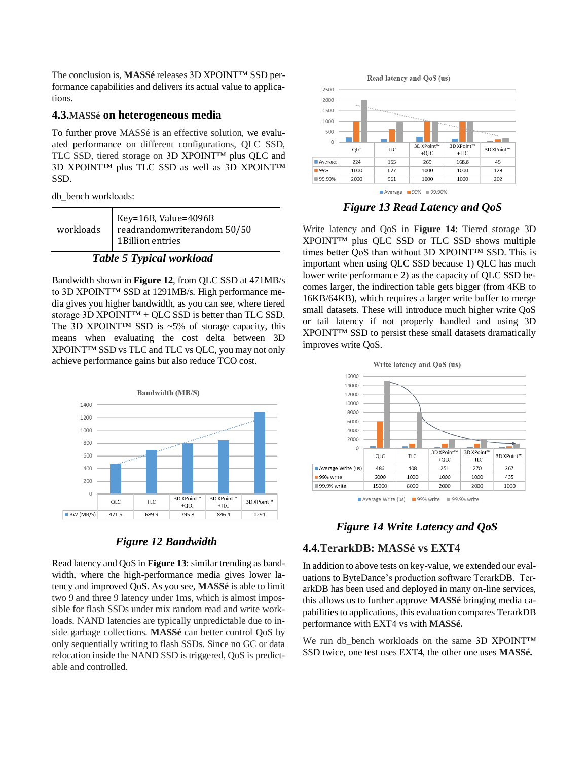The conclusion is, **MASSé** releases 3D XPOINT™ SSD performance capabilities and delivers its actual value to applications.

#### **4.3.MASSé on heterogeneous media**

To further prove MASSé is an effective solution, we evaluated performance on different configurations, QLC SSD, TLC SSD, tiered storage on 3D XPOINT™ plus QLC and 3D XPOINT™ plus TLC SSD as well as 3D XPOINT™ SSD.

db\_bench workloads:

| workloads | Key=16B, Value=4096B<br>readrandomwriterandom 50/50<br>1Billion entries |
|-----------|-------------------------------------------------------------------------|
|-----------|-------------------------------------------------------------------------|

 *Table 5 Typical workload*

Bandwidth shown in **Figure 12**, from QLC SSD at 471MB/s to 3D XPOINT™ SSD at 1291MB/s. High performance media gives you higher bandwidth, as you can see, where tiered storage 3D XPOINT<sup>TM</sup> + QLC SSD is better than TLC SSD. The 3D XPOINT<sup>IM</sup> SSD is  $~5\%$  of storage capacity, this means when evaluating the cost delta between 3D XPOINT™ SSD vs TLC and TLC vs QLC, you may not only achieve performance gains but also reduce TCO cost.



### *Figure 12 Bandwidth*

Read latency and QoS in **Figure 13**: similar trending as bandwidth, where the high-performance media gives lower latency and improved QoS. As you see, **MASSé** is able to limit two 9 and three 9 latency under 1ms, which is almost impossible for flash SSDs under mix random read and write workloads. NAND latencies are typically unpredictable due to inside garbage collections. **MASSé** can better control QoS by only sequentially writing to flash SSDs. Since no GC or data relocation inside the NAND SSD is triggered, QoS is predictable and controlled.



 *Figure 13 Read Latency and QoS*

Write latency and QoS in **Figure 14**: Tiered storage 3D XPOINT™ plus QLC SSD or TLC SSD shows multiple times better QoS than without 3D XPOINT™ SSD. This is important when using QLC SSD because 1) QLC has much lower write performance 2) as the capacity of QLC SSD becomes larger, the indirection table gets bigger (from 4KB to 16KB/64KB), which requires a larger write buffer to merge small datasets. These will introduce much higher write QoS or tail latency if not properly handled and using 3D XPOINT™ SSD to persist these small datasets dramatically improves write QoS.



# *Figure 14 Write Latency and QoS*

## **4.4.TerarkDB: MASSé vs EXT4**

In addition to above tests on key-value, we extended our evaluations to ByteDance's production software TerarkDB. TerarkDB has been used and deployed in many on-line services, this allows us to further approve **MASSé** bringing media capabilities to applications, this evaluation compares TerarkDB performance with EXT4 vs with **MASSé.**

We run db bench workloads on the same 3D XPOINT™ SSD twice, one test uses EXT4, the other one uses **MASSé.**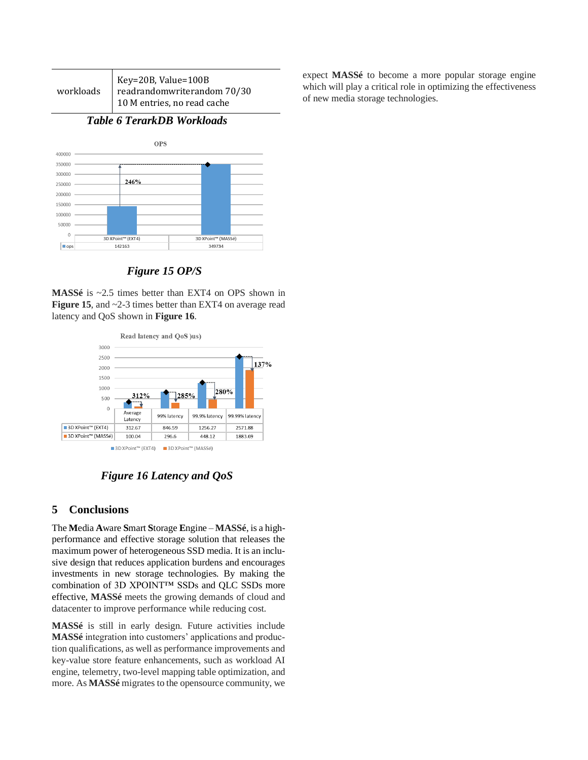

 *Table 6 TerarkDB Workloads*



 *Figure 15 OP/S*

**MASSé** is ~2.5 times better than EXT4 on OPS shown in **Figure 15**, and  $\sim$ 2-3 times better than EXT4 on average read latency and QoS shown in **Figure 16**.



 *Figure 16 Latency and QoS*

### **5 Conclusions**

The **M**edia **A**ware **S**mart **S**torage **E**ngine – **MASSé**, is a highperformance and effective storage solution that releases the maximum power of heterogeneous SSD media. It is an inclusive design that reduces application burdens and encourages investments in new storage technologies. By making the combination of 3D XPOINT™ SSDs and QLC SSDs more effective, **MASSé** meets the growing demands of cloud and datacenter to improve performance while reducing cost.

**MASSé** is still in early design. Future activities include **MASSé** integration into customers' applications and production qualifications, as well as performance improvements and key-value store feature enhancements, such as workload AI engine, telemetry, two-level mapping table optimization, and more. As **MASSé** migrates to the opensource community, we expect **MASSé** to become a more popular storage engine which will play a critical role in optimizing the effectiveness of new media storage technologies.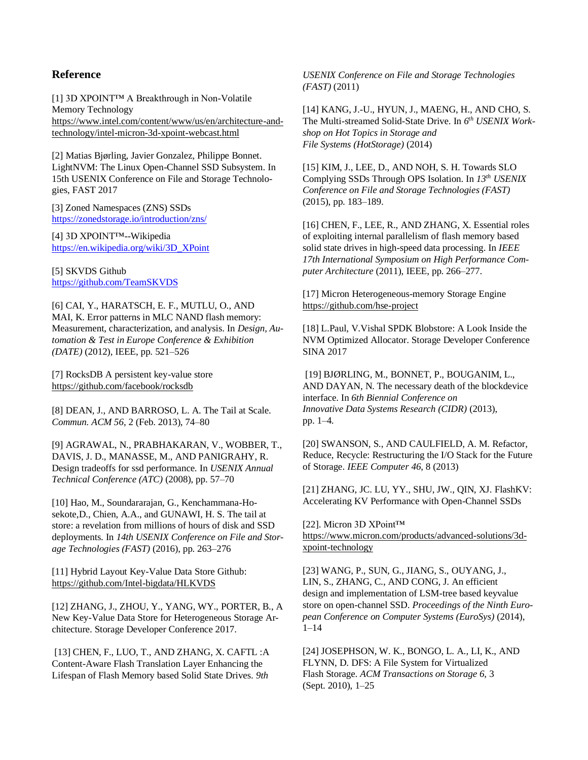## **Reference**

[1] 3D XPOINT™ A Breakthrough in Non-Volatile Memory Technology [https://www.intel.com/content/www/us/en/architecture-and](https://www.intel.com/content/www/us/en/architecture-and-technology/intel-micron-3d-xpoint-webcast.html)[technology/intel-micron-3d-xpoint-webcast.html](https://www.intel.com/content/www/us/en/architecture-and-technology/intel-micron-3d-xpoint-webcast.html)

[2] Matias Bjørling*,* Javier Gonzalez*,* Philippe Bonnet. LightNVM: The Linux Open-Channel SSD Subsystem. In 15th USENIX Conference on File and Storage Technologies, FAST 2017

[3] Zoned Namespaces (ZNS) SSDs <https://zonedstorage.io/introduction/zns/>

[4] 3D XPOINT™--Wikipedia [https://en.wikipedia.org/wiki/3D\\_XPoint](https://en.wikipedia.org/wiki/3D_XPoint)

[5] SKVDS Github <https://github.com/TeamSKVDS>

[6] CAI, Y., HARATSCH, E. F., MUTLU, O., AND MAI, K. Error patterns in MLC NAND flash memory: Measurement, characterization, and analysis. In *Design, Automation & Test in Europe Conference & Exhibition (DATE)* (2012), IEEE, pp. 521–526

[7] RocksDB A persistent key-value store <https://github.com/facebook/rocksdb>

[8] DEAN, J., AND BARROSO, L. A. The Tail at Scale. *Commun. ACM 56*, 2 (Feb. 2013), 74–80

[9] AGRAWAL, N., PRABHAKARAN, V., WOBBER, T., DAVIS, J. D., MANASSE, M., AND PANIGRAHY, R. Design tradeoffs for ssd performance. In *USENIX Annual Technical Conference (ATC)* (2008), pp. 57–70

[10] Hao, M., Soundararajan, G., Kenchammana-Hosekote,D., Chien, A.A., and GUNAWI, H. S. The tail at store: a revelation from millions of hours of disk and SSD deployments. In *14th USENIX Conference on File and Storage Technologies (FAST)* (2016), pp. 263–276

[11] Hybrid Layout Key-Value Data Store Github: <https://github.com/Intel-bigdata/HLKVDS>

[12] ZHANG, J., ZHOU, Y., YANG, WY., PORTER, B., A New Key-Value Data Store for Heterogeneous Storage Architecture. Storage Developer Conference 2017.

[13] CHEN, F., LUO, T., AND ZHANG, X. CAFTL :A Content-Aware Flash Translation Layer Enhancing the Lifespan of Flash Memory based Solid State Drives. *9th* 

*USENIX Conference on File and Storage Technologies (FAST)* (2011)

[14] KANG, J.-U., HYUN, J., MAENG, H., AND CHO, S. The Multi-streamed Solid-State Drive. In *6 th USENIX Workshop on Hot Topics in Storage and File Systems (HotStorage)* (2014)

[15] KIM, J., LEE, D., AND NOH, S. H. Towards SLO Complying SSDs Through OPS Isolation. In *13th USENIX Conference on File and Storage Technologies (FAST)*  (2015), pp. 183–189.

[16] CHEN, F., LEE, R., AND ZHANG, X. Essential roles of exploiting internal parallelism of flash memory based solid state drives in high-speed data processing. In *IEEE 17th International Symposium on High Performance Computer Architecture* (2011), IEEE, pp. 266–277.

[17] Micron Heterogeneous-memory Storage Engine <https://github.com/hse-project>

[18] L.Paul, V.Vishal SPDK Blobstore: A Look Inside the NVM Optimized Allocator. Storage Developer Conference SINA 2017

[19] BJØRLING, M., BONNET, P., BOUGANIM, L., AND DAYAN, N. The necessary death of the blockdevice interface. In *6th Biennial Conference on Innovative Data Systems Research (CIDR)* (2013), pp. 1–4.

[20] SWANSON, S., AND CAULFIELD, A. M. Refactor, Reduce, Recycle: Restructuring the I/O Stack for the Future of Storage. *IEEE Computer 46*, 8 (2013)

[21] ZHANG, JC. LU, YY., SHU, JW., QIN, XJ. FlashKV: Accelerating KV Performance with Open-Channel SSDs

[22]. Micron 3D XPoint™ [https://www.micron.com/products/advanced-solutions/3d](https://www.micron.com/products/advanced-solutions/3d-xpoint-technology)[xpoint-technology](https://www.micron.com/products/advanced-solutions/3d-xpoint-technology)

[23] WANG, P., SUN, G., JIANG, S., OUYANG, J., LIN, S., ZHANG, C., AND CONG, J. An efficient design and implementation of LSM-tree based keyvalue store on open-channel SSD. *Proceedings of the Ninth European Conference on Computer Systems (EuroSys)* (2014), 1–14

[24] JOSEPHSON, W. K., BONGO, L. A., LI, K., AND FLYNN, D. DFS: A File System for Virtualized Flash Storage. *ACM Transactions on Storage 6*, 3 (Sept. 2010), 1–25